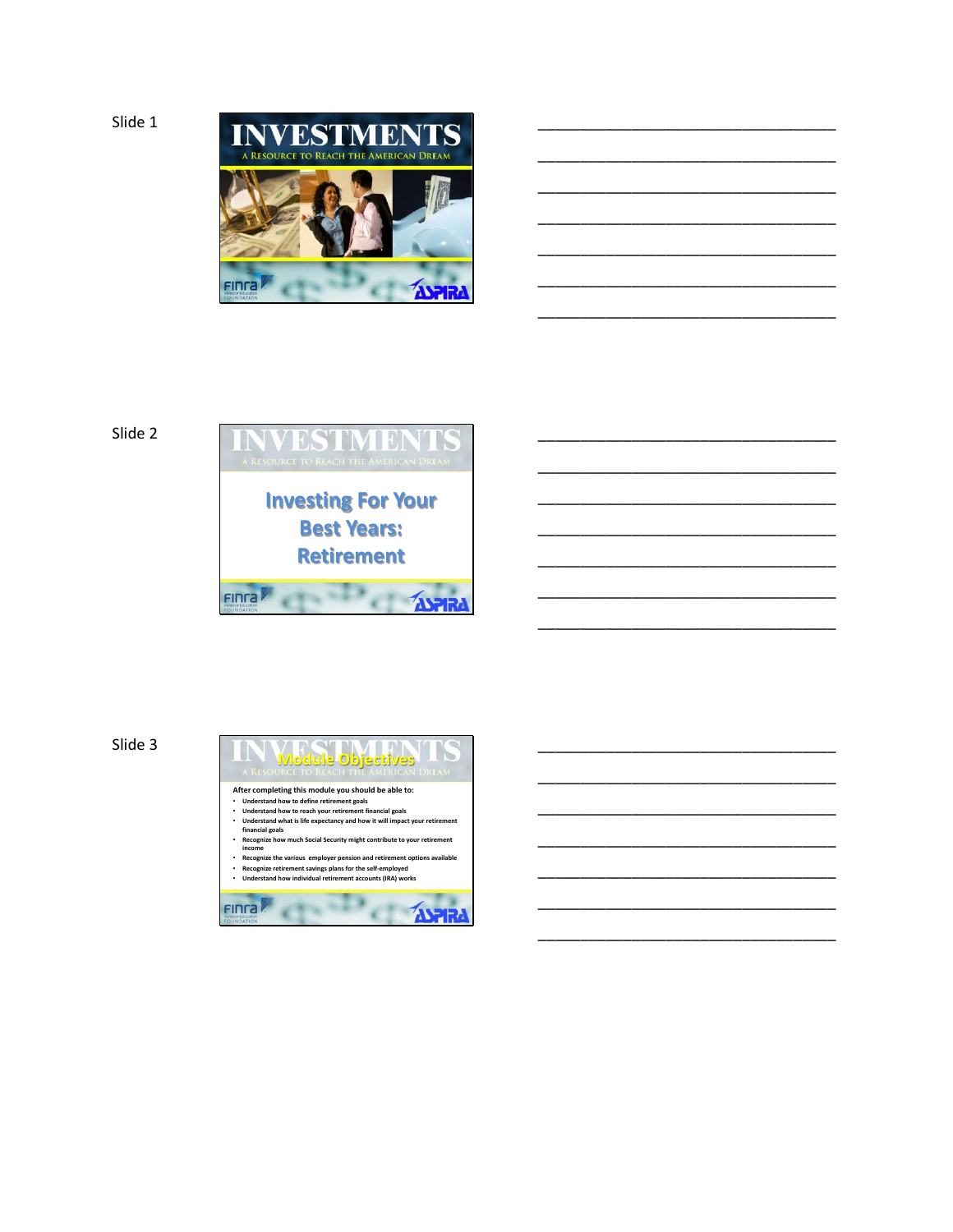

\_\_\_\_\_\_\_\_\_\_\_\_\_\_\_\_\_\_\_\_\_\_\_\_\_\_\_\_\_\_\_\_\_\_\_

\_\_\_\_\_\_\_\_\_\_\_\_\_\_\_\_\_\_\_\_\_\_\_\_\_\_\_\_\_\_\_\_\_\_\_

\_\_\_\_\_\_\_\_\_\_\_\_\_\_\_\_\_\_\_\_\_\_\_\_\_\_\_\_\_\_\_\_\_\_\_

\_\_\_\_\_\_\_\_\_\_\_\_\_\_\_\_\_\_\_\_\_\_\_\_\_\_\_\_\_\_\_\_\_\_\_

\_\_\_\_\_\_\_\_\_\_\_\_\_\_\_\_\_\_\_\_\_\_\_\_\_\_\_\_\_\_\_\_\_\_\_

\_\_\_\_\_\_\_\_\_\_\_\_\_\_\_\_\_\_\_\_\_\_\_\_\_\_\_\_\_\_\_\_\_\_\_

\_\_\_\_\_\_\_\_\_\_\_\_\_\_\_\_\_\_\_\_\_\_\_\_\_\_\_\_\_\_\_\_\_\_\_

\_\_\_\_\_\_\_\_\_\_\_\_\_\_\_\_\_\_\_\_\_\_\_\_\_\_\_\_\_\_\_\_\_\_\_

\_\_\_\_\_\_\_\_\_\_\_\_\_\_\_\_\_\_\_\_\_\_\_\_\_\_\_\_\_\_\_\_\_\_\_

\_\_\_\_\_\_\_\_\_\_\_\_\_\_\_\_\_\_\_\_\_\_\_\_\_\_\_\_\_\_\_\_\_\_\_

\_\_\_\_\_\_\_\_\_\_\_\_\_\_\_\_\_\_\_\_\_\_\_\_\_\_\_\_\_\_\_\_\_\_\_

\_\_\_\_\_\_\_\_\_\_\_\_\_\_\_\_\_\_\_\_\_\_\_\_\_\_\_\_\_\_\_\_\_\_\_

\_\_\_\_\_\_\_\_\_\_\_\_\_\_\_\_\_\_\_\_\_\_\_\_\_\_\_\_\_\_\_\_\_\_\_

\_\_\_\_\_\_\_\_\_\_\_\_\_\_\_\_\_\_\_\_\_\_\_\_\_\_\_\_\_\_\_\_\_\_\_

\_\_\_\_\_\_\_\_\_\_\_\_\_\_\_\_\_\_\_\_\_\_\_\_\_\_\_\_\_\_\_\_\_\_\_

\_\_\_\_\_\_\_\_\_\_\_\_\_\_\_\_\_\_\_\_\_\_\_\_\_\_\_\_\_\_\_\_\_\_\_

\_\_\_\_\_\_\_\_\_\_\_\_\_\_\_\_\_\_\_\_\_\_\_\_\_\_\_\_\_\_\_\_\_\_\_

\_\_\_\_\_\_\_\_\_\_\_\_\_\_\_\_\_\_\_\_\_\_\_\_\_\_\_\_\_\_\_\_\_\_\_

\_\_\_\_\_\_\_\_\_\_\_\_\_\_\_\_\_\_\_\_\_\_\_\_\_\_\_\_\_\_\_\_\_\_\_

\_\_\_\_\_\_\_\_\_\_\_\_\_\_\_\_\_\_\_\_\_\_\_\_\_\_\_\_\_\_\_\_\_\_\_

# Slide 2



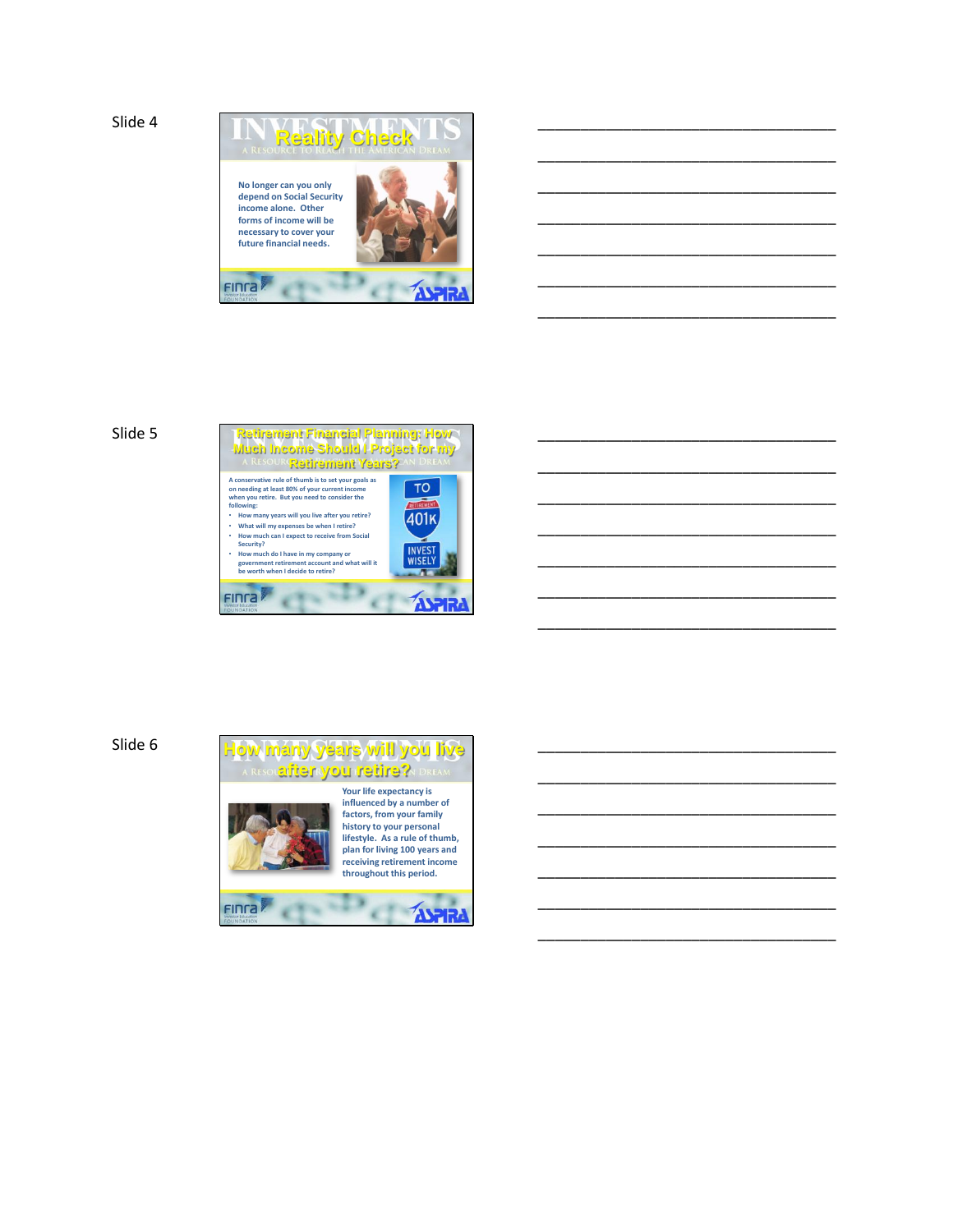Slide 4



\_\_\_\_\_\_\_\_\_\_\_\_\_\_\_\_\_\_\_\_\_\_\_\_\_\_\_\_\_\_\_\_\_\_\_

\_\_\_\_\_\_\_\_\_\_\_\_\_\_\_\_\_\_\_\_\_\_\_\_\_\_\_\_\_\_\_\_\_\_\_

\_\_\_\_\_\_\_\_\_\_\_\_\_\_\_\_\_\_\_\_\_\_\_\_\_\_\_\_\_\_\_\_\_\_\_

\_\_\_\_\_\_\_\_\_\_\_\_\_\_\_\_\_\_\_\_\_\_\_\_\_\_\_\_\_\_\_\_\_\_\_

\_\_\_\_\_\_\_\_\_\_\_\_\_\_\_\_\_\_\_\_\_\_\_\_\_\_\_\_\_\_\_\_\_\_\_

\_\_\_\_\_\_\_\_\_\_\_\_\_\_\_\_\_\_\_\_\_\_\_\_\_\_\_\_\_\_\_\_\_\_\_

\_\_\_\_\_\_\_\_\_\_\_\_\_\_\_\_\_\_\_\_\_\_\_\_\_\_\_\_\_\_\_\_\_\_\_

\_\_\_\_\_\_\_\_\_\_\_\_\_\_\_\_\_\_\_\_\_\_\_\_\_\_\_\_\_\_\_\_\_\_\_

\_\_\_\_\_\_\_\_\_\_\_\_\_\_\_\_\_\_\_\_\_\_\_\_\_\_\_\_\_\_\_\_\_\_\_

\_\_\_\_\_\_\_\_\_\_\_\_\_\_\_\_\_\_\_\_\_\_\_\_\_\_\_\_\_\_\_\_\_\_\_

\_\_\_\_\_\_\_\_\_\_\_\_\_\_\_\_\_\_\_\_\_\_\_\_\_\_\_\_\_\_\_\_\_\_\_

\_\_\_\_\_\_\_\_\_\_\_\_\_\_\_\_\_\_\_\_\_\_\_\_\_\_\_\_\_\_\_\_\_\_\_

\_\_\_\_\_\_\_\_\_\_\_\_\_\_\_\_\_\_\_\_\_\_\_\_\_\_\_\_\_\_\_\_\_\_\_

\_\_\_\_\_\_\_\_\_\_\_\_\_\_\_\_\_\_\_\_\_\_\_\_\_\_\_\_\_\_\_\_\_\_\_

\_\_\_\_\_\_\_\_\_\_\_\_\_\_\_\_\_\_\_\_\_\_\_\_\_\_\_\_\_\_\_\_\_\_\_

\_\_\_\_\_\_\_\_\_\_\_\_\_\_\_\_\_\_\_\_\_\_\_\_\_\_\_\_\_\_\_\_\_\_\_

\_\_\_\_\_\_\_\_\_\_\_\_\_\_\_\_\_\_\_\_\_\_\_\_\_\_\_\_\_\_\_\_\_\_\_

\_\_\_\_\_\_\_\_\_\_\_\_\_\_\_\_\_\_\_\_\_\_\_\_\_\_\_\_\_\_\_\_\_\_\_

\_\_\_\_\_\_\_\_\_\_\_\_\_\_\_\_\_\_\_\_\_\_\_\_\_\_\_\_\_\_\_\_\_\_\_

\_\_\_\_\_\_\_\_\_\_\_\_\_\_\_\_\_\_\_\_\_\_\_\_\_\_\_\_\_\_\_\_\_\_\_

\_\_\_\_\_\_\_\_\_\_\_\_\_\_\_\_\_\_\_\_\_\_\_\_\_\_\_\_\_\_\_\_\_\_\_



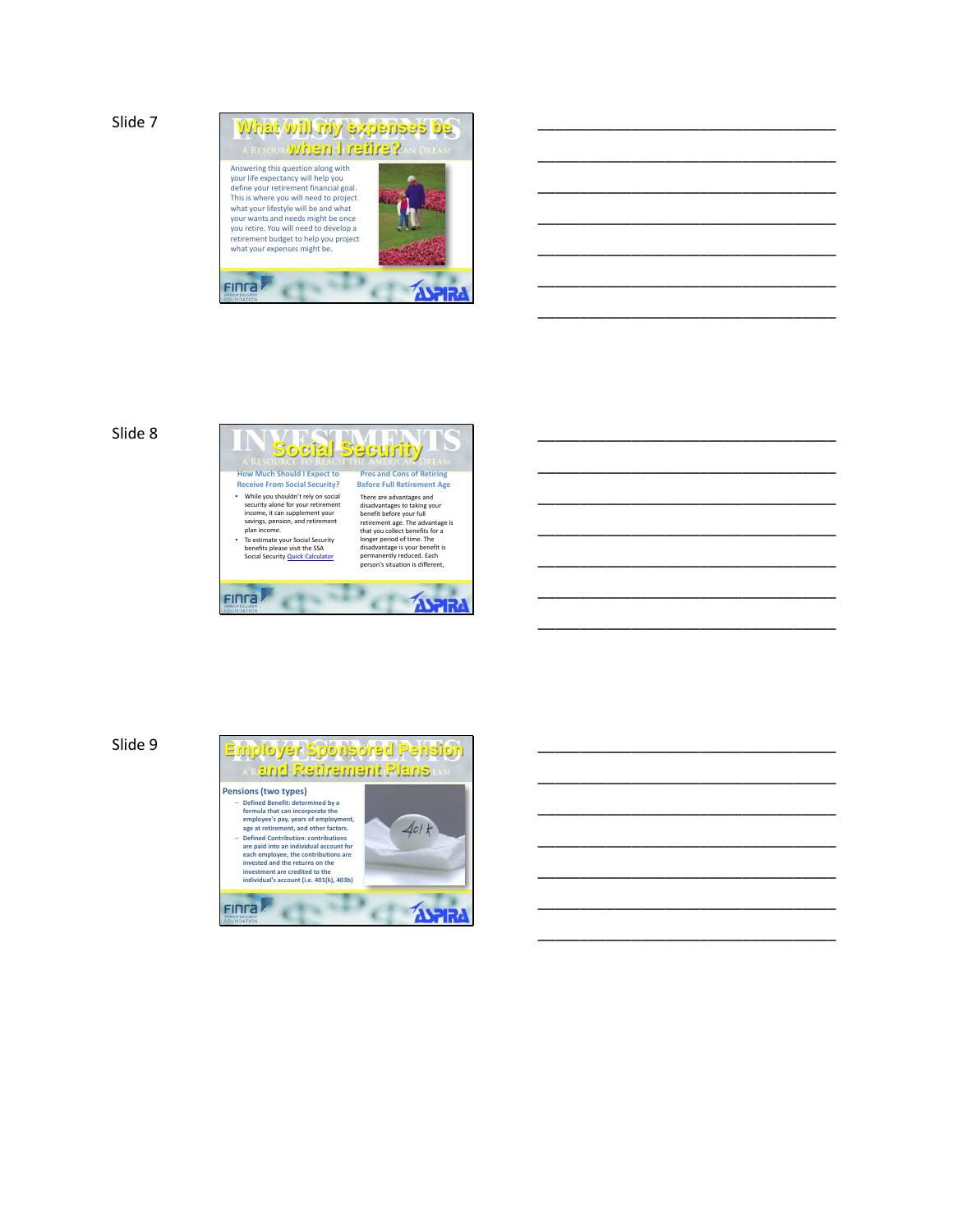Slide 7



\_\_\_\_\_\_\_\_\_\_\_\_\_\_\_\_\_\_\_\_\_\_\_\_\_\_\_\_\_\_\_\_\_\_\_

\_\_\_\_\_\_\_\_\_\_\_\_\_\_\_\_\_\_\_\_\_\_\_\_\_\_\_\_\_\_\_\_\_\_\_

\_\_\_\_\_\_\_\_\_\_\_\_\_\_\_\_\_\_\_\_\_\_\_\_\_\_\_\_\_\_\_\_\_\_\_

\_\_\_\_\_\_\_\_\_\_\_\_\_\_\_\_\_\_\_\_\_\_\_\_\_\_\_\_\_\_\_\_\_\_\_

\_\_\_\_\_\_\_\_\_\_\_\_\_\_\_\_\_\_\_\_\_\_\_\_\_\_\_\_\_\_\_\_\_\_\_

\_\_\_\_\_\_\_\_\_\_\_\_\_\_\_\_\_\_\_\_\_\_\_\_\_\_\_\_\_\_\_\_\_\_\_

\_\_\_\_\_\_\_\_\_\_\_\_\_\_\_\_\_\_\_\_\_\_\_\_\_\_\_\_\_\_\_\_\_\_\_

\_\_\_\_\_\_\_\_\_\_\_\_\_\_\_\_\_\_\_\_\_\_\_\_\_\_\_\_\_\_\_\_\_\_\_

\_\_\_\_\_\_\_\_\_\_\_\_\_\_\_\_\_\_\_\_\_\_\_\_\_\_\_\_\_\_\_\_\_\_\_

\_\_\_\_\_\_\_\_\_\_\_\_\_\_\_\_\_\_\_\_\_\_\_\_\_\_\_\_\_\_\_\_\_\_\_

\_\_\_\_\_\_\_\_\_\_\_\_\_\_\_\_\_\_\_\_\_\_\_\_\_\_\_\_\_\_\_\_\_\_\_

\_\_\_\_\_\_\_\_\_\_\_\_\_\_\_\_\_\_\_\_\_\_\_\_\_\_\_\_\_\_\_\_\_\_\_

\_\_\_\_\_\_\_\_\_\_\_\_\_\_\_\_\_\_\_\_\_\_\_\_\_\_\_\_\_\_\_\_\_\_\_

\_\_\_\_\_\_\_\_\_\_\_\_\_\_\_\_\_\_\_\_\_\_\_\_\_\_\_\_\_\_\_\_\_\_\_

\_\_\_\_\_\_\_\_\_\_\_\_\_\_\_\_\_\_\_\_\_\_\_\_\_\_\_\_\_\_\_\_\_\_\_

\_\_\_\_\_\_\_\_\_\_\_\_\_\_\_\_\_\_\_\_\_\_\_\_\_\_\_\_\_\_\_\_\_\_\_

\_\_\_\_\_\_\_\_\_\_\_\_\_\_\_\_\_\_\_\_\_\_\_\_\_\_\_\_\_\_\_\_\_\_\_

\_\_\_\_\_\_\_\_\_\_\_\_\_\_\_\_\_\_\_\_\_\_\_\_\_\_\_\_\_\_\_\_\_\_\_

\_\_\_\_\_\_\_\_\_\_\_\_\_\_\_\_\_\_\_\_\_\_\_\_\_\_\_\_\_\_\_\_\_\_\_

\_\_\_\_\_\_\_\_\_\_\_\_\_\_\_\_\_\_\_\_\_\_\_\_\_\_\_\_\_\_\_\_\_\_\_

\_\_\_\_\_\_\_\_\_\_\_\_\_\_\_\_\_\_\_\_\_\_\_\_\_\_\_\_\_\_\_\_\_\_\_

## Slide 8

#### **Social Security How Much Should I Expect to Pros and Cons of Retiring Receive From Social Security? Before Full Retirement Age** • While you shouldn't rely on social security alone for your retirement income, it can supplement your savings, pension, and retirement plan income. There are advantages and disadvantages to taking your benefit before your full retirement age. The advantage is that you collect benefits for a longer period of time. The disadvantage is your benefit is • To estimate your Social Security benefits please visit the SSA Social Security Quick Calculator permanently reduced. Each person's situation is different, × Finra **EXAMPLE**

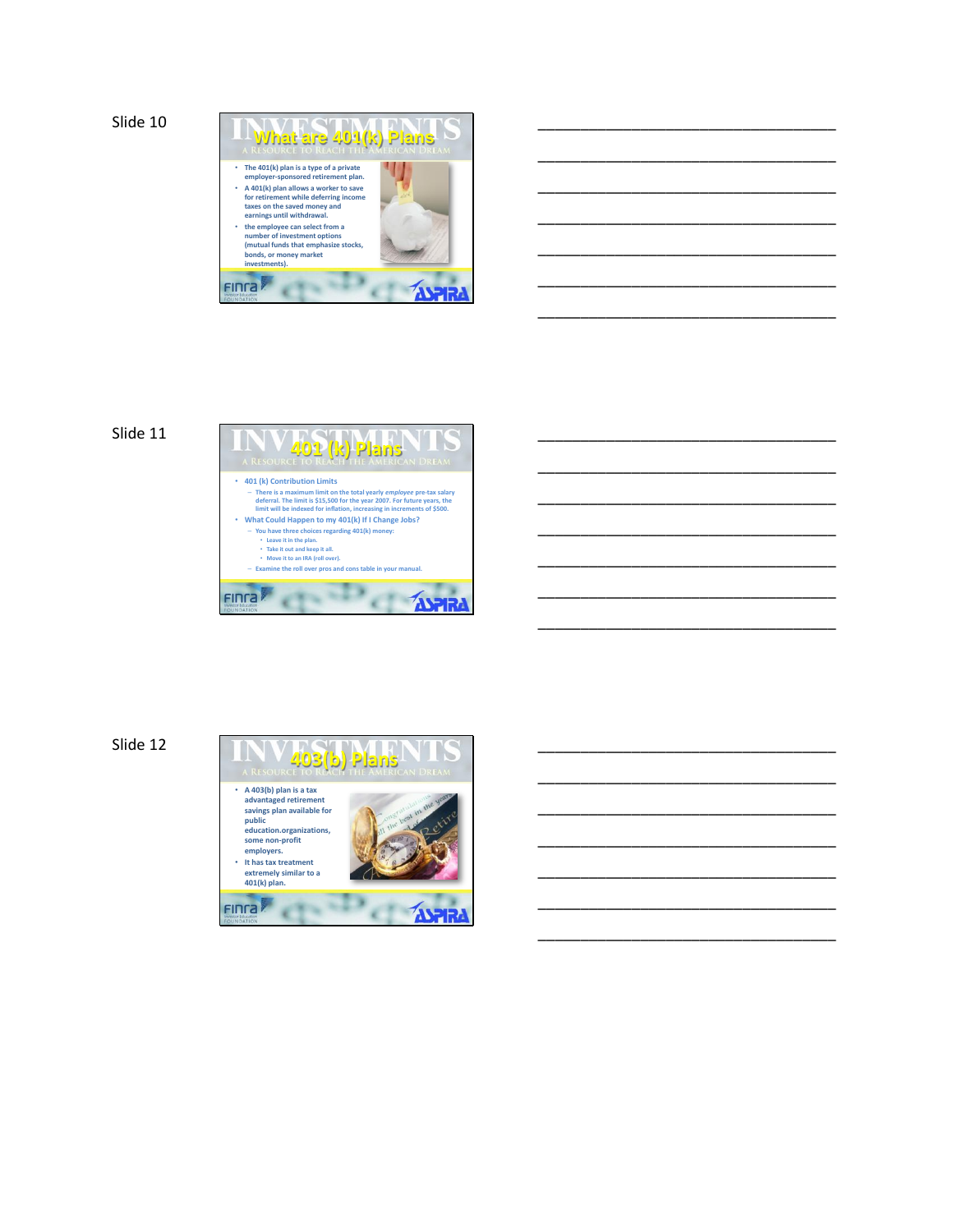Slide 10



\_\_\_\_\_\_\_\_\_\_\_\_\_\_\_\_\_\_\_\_\_\_\_\_\_\_\_\_\_\_\_\_\_\_\_

\_\_\_\_\_\_\_\_\_\_\_\_\_\_\_\_\_\_\_\_\_\_\_\_\_\_\_\_\_\_\_\_\_\_\_

\_\_\_\_\_\_\_\_\_\_\_\_\_\_\_\_\_\_\_\_\_\_\_\_\_\_\_\_\_\_\_\_\_\_\_

\_\_\_\_\_\_\_\_\_\_\_\_\_\_\_\_\_\_\_\_\_\_\_\_\_\_\_\_\_\_\_\_\_\_\_

\_\_\_\_\_\_\_\_\_\_\_\_\_\_\_\_\_\_\_\_\_\_\_\_\_\_\_\_\_\_\_\_\_\_\_

\_\_\_\_\_\_\_\_\_\_\_\_\_\_\_\_\_\_\_\_\_\_\_\_\_\_\_\_\_\_\_\_\_\_\_

\_\_\_\_\_\_\_\_\_\_\_\_\_\_\_\_\_\_\_\_\_\_\_\_\_\_\_\_\_\_\_\_\_\_\_

\_\_\_\_\_\_\_\_\_\_\_\_\_\_\_\_\_\_\_\_\_\_\_\_\_\_\_\_\_\_\_\_\_\_\_

\_\_\_\_\_\_\_\_\_\_\_\_\_\_\_\_\_\_\_\_\_\_\_\_\_\_\_\_\_\_\_\_\_\_\_

\_\_\_\_\_\_\_\_\_\_\_\_\_\_\_\_\_\_\_\_\_\_\_\_\_\_\_\_\_\_\_\_\_\_\_

\_\_\_\_\_\_\_\_\_\_\_\_\_\_\_\_\_\_\_\_\_\_\_\_\_\_\_\_\_\_\_\_\_\_\_

\_\_\_\_\_\_\_\_\_\_\_\_\_\_\_\_\_\_\_\_\_\_\_\_\_\_\_\_\_\_\_\_\_\_\_

\_\_\_\_\_\_\_\_\_\_\_\_\_\_\_\_\_\_\_\_\_\_\_\_\_\_\_\_\_\_\_\_\_\_\_

\_\_\_\_\_\_\_\_\_\_\_\_\_\_\_\_\_\_\_\_\_\_\_\_\_\_\_\_\_\_\_\_\_\_\_

\_\_\_\_\_\_\_\_\_\_\_\_\_\_\_\_\_\_\_\_\_\_\_\_\_\_\_\_\_\_\_\_\_\_\_

\_\_\_\_\_\_\_\_\_\_\_\_\_\_\_\_\_\_\_\_\_\_\_\_\_\_\_\_\_\_\_\_\_\_\_

\_\_\_\_\_\_\_\_\_\_\_\_\_\_\_\_\_\_\_\_\_\_\_\_\_\_\_\_\_\_\_\_\_\_\_

\_\_\_\_\_\_\_\_\_\_\_\_\_\_\_\_\_\_\_\_\_\_\_\_\_\_\_\_\_\_\_\_\_\_\_

\_\_\_\_\_\_\_\_\_\_\_\_\_\_\_\_\_\_\_\_\_\_\_\_\_\_\_\_\_\_\_\_\_\_\_

\_\_\_\_\_\_\_\_\_\_\_\_\_\_\_\_\_\_\_\_\_\_\_\_\_\_\_\_\_\_\_\_\_\_\_

\_\_\_\_\_\_\_\_\_\_\_\_\_\_\_\_\_\_\_\_\_\_\_\_\_\_\_\_\_\_\_\_\_\_\_

## Slide 11



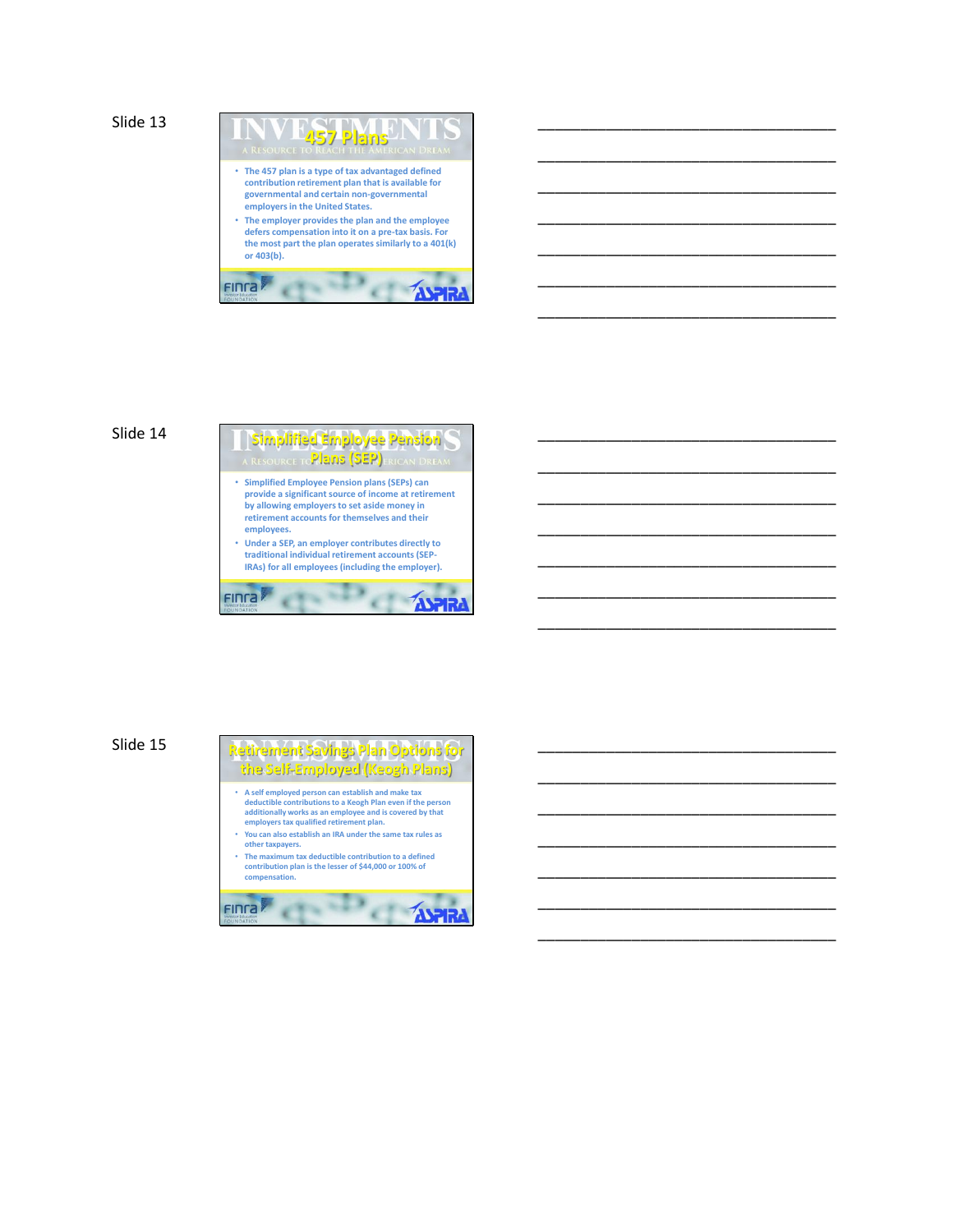```
Slide 13
```


\_\_\_\_\_\_\_\_\_\_\_\_\_\_\_\_\_\_\_\_\_\_\_\_\_\_\_\_\_\_\_\_\_\_\_

\_\_\_\_\_\_\_\_\_\_\_\_\_\_\_\_\_\_\_\_\_\_\_\_\_\_\_\_\_\_\_\_\_\_\_

\_\_\_\_\_\_\_\_\_\_\_\_\_\_\_\_\_\_\_\_\_\_\_\_\_\_\_\_\_\_\_\_\_\_\_

\_\_\_\_\_\_\_\_\_\_\_\_\_\_\_\_\_\_\_\_\_\_\_\_\_\_\_\_\_\_\_\_\_\_\_

\_\_\_\_\_\_\_\_\_\_\_\_\_\_\_\_\_\_\_\_\_\_\_\_\_\_\_\_\_\_\_\_\_\_\_

\_\_\_\_\_\_\_\_\_\_\_\_\_\_\_\_\_\_\_\_\_\_\_\_\_\_\_\_\_\_\_\_\_\_\_

\_\_\_\_\_\_\_\_\_\_\_\_\_\_\_\_\_\_\_\_\_\_\_\_\_\_\_\_\_\_\_\_\_\_\_

\_\_\_\_\_\_\_\_\_\_\_\_\_\_\_\_\_\_\_\_\_\_\_\_\_\_\_\_\_\_\_\_\_\_\_

\_\_\_\_\_\_\_\_\_\_\_\_\_\_\_\_\_\_\_\_\_\_\_\_\_\_\_\_\_\_\_\_\_\_\_

\_\_\_\_\_\_\_\_\_\_\_\_\_\_\_\_\_\_\_\_\_\_\_\_\_\_\_\_\_\_\_\_\_\_\_

\_\_\_\_\_\_\_\_\_\_\_\_\_\_\_\_\_\_\_\_\_\_\_\_\_\_\_\_\_\_\_\_\_\_\_

\_\_\_\_\_\_\_\_\_\_\_\_\_\_\_\_\_\_\_\_\_\_\_\_\_\_\_\_\_\_\_\_\_\_\_

\_\_\_\_\_\_\_\_\_\_\_\_\_\_\_\_\_\_\_\_\_\_\_\_\_\_\_\_\_\_\_\_\_\_\_

\_\_\_\_\_\_\_\_\_\_\_\_\_\_\_\_\_\_\_\_\_\_\_\_\_\_\_\_\_\_\_\_\_\_\_

\_\_\_\_\_\_\_\_\_\_\_\_\_\_\_\_\_\_\_\_\_\_\_\_\_\_\_\_\_\_\_\_\_\_\_

\_\_\_\_\_\_\_\_\_\_\_\_\_\_\_\_\_\_\_\_\_\_\_\_\_\_\_\_\_\_\_\_\_\_\_

\_\_\_\_\_\_\_\_\_\_\_\_\_\_\_\_\_\_\_\_\_\_\_\_\_\_\_\_\_\_\_\_\_\_\_

\_\_\_\_\_\_\_\_\_\_\_\_\_\_\_\_\_\_\_\_\_\_\_\_\_\_\_\_\_\_\_\_\_\_\_

\_\_\_\_\_\_\_\_\_\_\_\_\_\_\_\_\_\_\_\_\_\_\_\_\_\_\_\_\_\_\_\_\_\_\_

\_\_\_\_\_\_\_\_\_\_\_\_\_\_\_\_\_\_\_\_\_\_\_\_\_\_\_\_\_\_\_\_\_\_\_

\_\_\_\_\_\_\_\_\_\_\_\_\_\_\_\_\_\_\_\_\_\_\_\_\_\_\_\_\_\_\_\_\_\_\_



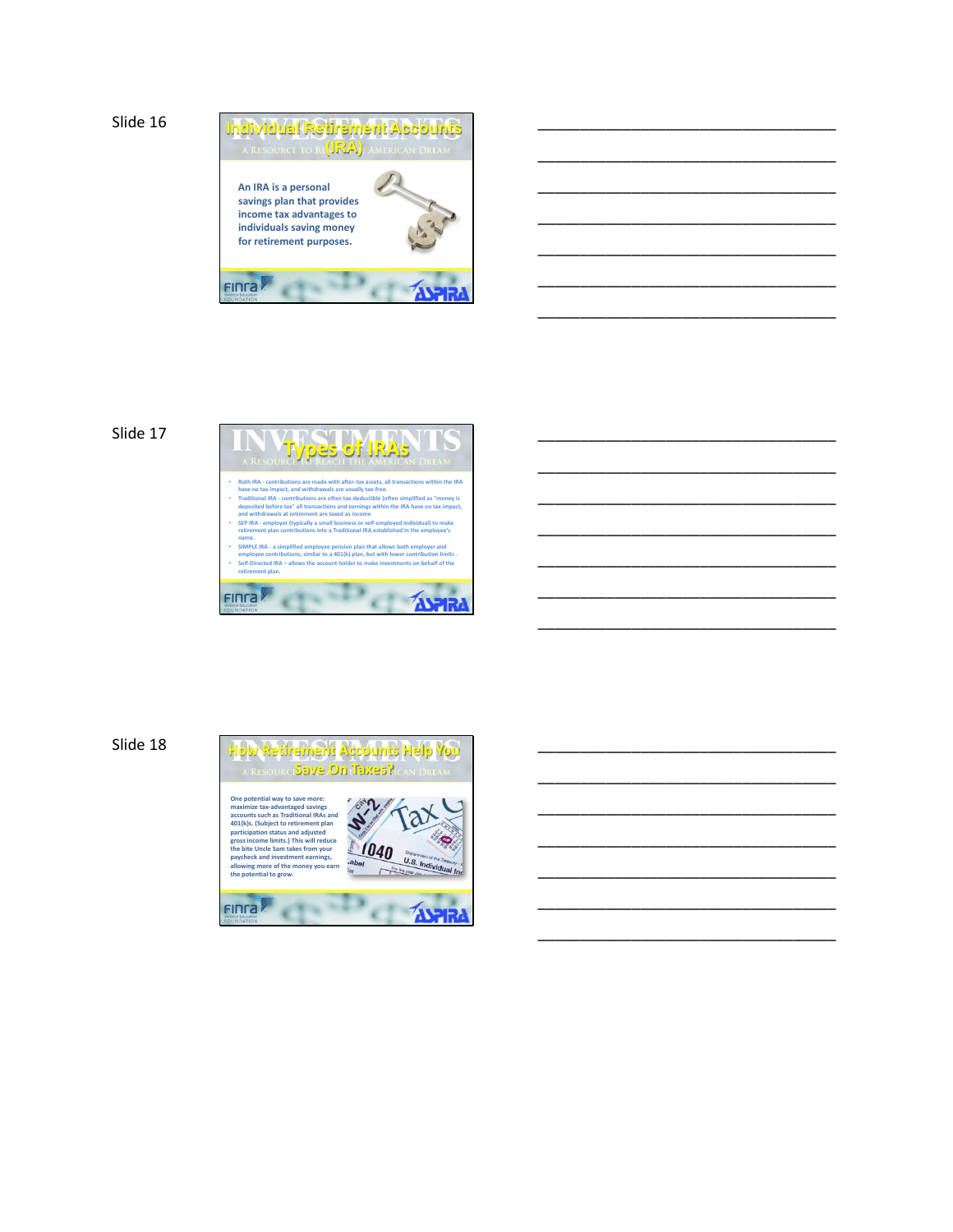

\_\_\_\_\_\_\_\_\_\_\_\_\_\_\_\_\_\_\_\_\_\_\_\_\_\_\_\_\_\_\_\_\_\_\_

\_\_\_\_\_\_\_\_\_\_\_\_\_\_\_\_\_\_\_\_\_\_\_\_\_\_\_\_\_\_\_\_\_\_\_

\_\_\_\_\_\_\_\_\_\_\_\_\_\_\_\_\_\_\_\_\_\_\_\_\_\_\_\_\_\_\_\_\_\_\_

\_\_\_\_\_\_\_\_\_\_\_\_\_\_\_\_\_\_\_\_\_\_\_\_\_\_\_\_\_\_\_\_\_\_\_

\_\_\_\_\_\_\_\_\_\_\_\_\_\_\_\_\_\_\_\_\_\_\_\_\_\_\_\_\_\_\_\_\_\_\_

\_\_\_\_\_\_\_\_\_\_\_\_\_\_\_\_\_\_\_\_\_\_\_\_\_\_\_\_\_\_\_\_\_\_\_

\_\_\_\_\_\_\_\_\_\_\_\_\_\_\_\_\_\_\_\_\_\_\_\_\_\_\_\_\_\_\_\_\_\_\_

\_\_\_\_\_\_\_\_\_\_\_\_\_\_\_\_\_\_\_\_\_\_\_\_\_\_\_\_\_\_\_\_\_\_\_

\_\_\_\_\_\_\_\_\_\_\_\_\_\_\_\_\_\_\_\_\_\_\_\_\_\_\_\_\_\_\_\_\_\_\_

\_\_\_\_\_\_\_\_\_\_\_\_\_\_\_\_\_\_\_\_\_\_\_\_\_\_\_\_\_\_\_\_\_\_\_

\_\_\_\_\_\_\_\_\_\_\_\_\_\_\_\_\_\_\_\_\_\_\_\_\_\_\_\_\_\_\_\_\_\_\_

\_\_\_\_\_\_\_\_\_\_\_\_\_\_\_\_\_\_\_\_\_\_\_\_\_\_\_\_\_\_\_\_\_\_\_

\_\_\_\_\_\_\_\_\_\_\_\_\_\_\_\_\_\_\_\_\_\_\_\_\_\_\_\_\_\_\_\_\_\_\_

\_\_\_\_\_\_\_\_\_\_\_\_\_\_\_\_\_\_\_\_\_\_\_\_\_\_\_\_\_\_\_\_\_\_\_

\_\_\_\_\_\_\_\_\_\_\_\_\_\_\_\_\_\_\_\_\_\_\_\_\_\_\_\_\_\_\_\_\_\_\_

\_\_\_\_\_\_\_\_\_\_\_\_\_\_\_\_\_\_\_\_\_\_\_\_\_\_\_\_\_\_\_\_\_\_\_

\_\_\_\_\_\_\_\_\_\_\_\_\_\_\_\_\_\_\_\_\_\_\_\_\_\_\_\_\_\_\_\_\_\_\_

\_\_\_\_\_\_\_\_\_\_\_\_\_\_\_\_\_\_\_\_\_\_\_\_\_\_\_\_\_\_\_\_\_\_\_

\_\_\_\_\_\_\_\_\_\_\_\_\_\_\_\_\_\_\_\_\_\_\_\_\_\_\_\_\_\_\_\_\_\_\_

\_\_\_\_\_\_\_\_\_\_\_\_\_\_\_\_\_\_\_\_\_\_\_\_\_\_\_\_\_\_\_\_\_\_\_

\_\_\_\_\_\_\_\_\_\_\_\_\_\_\_\_\_\_\_\_\_\_\_\_\_\_\_\_\_\_\_\_\_\_\_

### Slide 17